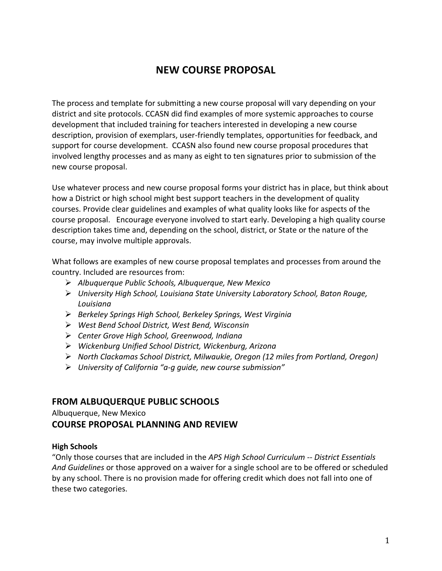# **NEW COURSE PROPOSAL**

The process and template for submitting a new course proposal will vary depending on your district and site protocols. CCASN did find examples of more systemic approaches to course development that included training for teachers interested in developing a new course description, provision of exemplars, user-friendly templates, opportunities for feedback, and support for course development. CCASN also found new course proposal procedures that involved lengthy processes and as many as eight to ten signatures prior to submission of the new course proposal.

Use whatever process and new course proposal forms your district has in place, but think about how a District or high school might best support teachers in the development of quality courses. Provide clear guidelines and examples of what quality looks like for aspects of the course proposal. Encourage everyone involved to start early. Developing a high quality course description takes time and, depending on the school, district, or State or the nature of the course, may involve multiple approvals.

What follows are examples of new course proposal templates and processes from around the country. Included are resources from:

- Ø *Albuquerque Public Schools, Albuquerque, New Mexico*
- Ø *University High School, Louisiana State University Laboratory School, Baton Rouge, Louisiana*
- Ø *Berkeley Springs High School, Berkeley Springs, West Virginia*
- Ø *West Bend School District, West Bend, Wisconsin*
- Ø *Center Grove High School, Greenwood, Indiana*
- Ø *Wickenburg Unified School District, Wickenburg, Arizona*
- Ø *North Clackamas School District, Milwaukie, Oregon (12 miles from Portland, Oregon)*
- Ø *University of California "a-g guide, new course submission"*

#### **FROM ALBUQUERQUE PUBLIC SCHOOLS**

Albuquerque, New Mexico

#### **COURSE PROPOSAL PLANNING AND REVIEW**

#### **High Schools**

"Only those courses that are included in the APS High School Curriculum -- District Essentials And Guidelines or those approved on a waiver for a single school are to be offered or scheduled by any school. There is no provision made for offering credit which does not fall into one of these two categories.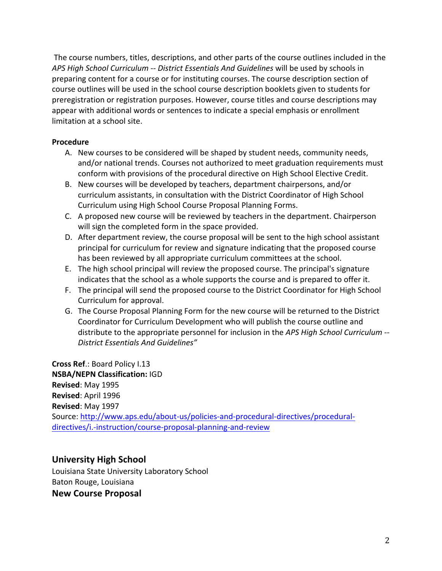The course numbers, titles, descriptions, and other parts of the course outlines included in the APS High School Curriculum -- District Essentials And Guidelines will be used by schools in preparing content for a course or for instituting courses. The course description section of course outlines will be used in the school course description booklets given to students for preregistration or registration purposes. However, course titles and course descriptions may appear with additional words or sentences to indicate a special emphasis or enrollment limitation at a school site.

#### **Procedure**

- A. New courses to be considered will be shaped by student needs, community needs, and/or national trends. Courses not authorized to meet graduation requirements must conform with provisions of the procedural directive on High School Elective Credit.
- B. New courses will be developed by teachers, department chairpersons, and/or curriculum assistants, in consultation with the District Coordinator of High School Curriculum using High School Course Proposal Planning Forms.
- C. A proposed new course will be reviewed by teachers in the department. Chairperson will sign the completed form in the space provided.
- D. After department review, the course proposal will be sent to the high school assistant principal for curriculum for review and signature indicating that the proposed course has been reviewed by all appropriate curriculum committees at the school.
- E. The high school principal will review the proposed course. The principal's signature indicates that the school as a whole supports the course and is prepared to offer it.
- F. The principal will send the proposed course to the District Coordinator for High School Curriculum for approval.
- G. The Course Proposal Planning Form for the new course will be returned to the District Coordinator for Curriculum Development who will publish the course outline and distribute to the appropriate personnel for inclusion in the *APS High School Curriculum* --*District Essentials And Guidelines"*

**Cross Ref.: Board Policy I.13 NSBA/NEPN Classification:** IGD **Revised:** May 1995 **Revised:** April 1996 **Revised:** May 1997 Source: http://www.aps.edu/about-us/policies-and-procedural-directives/proceduraldirectives/i.-instruction/course-proposal-planning-and-review

### **University High School**

Louisiana State University Laboratory School Baton Rouge, Louisiana

**New Course Proposal**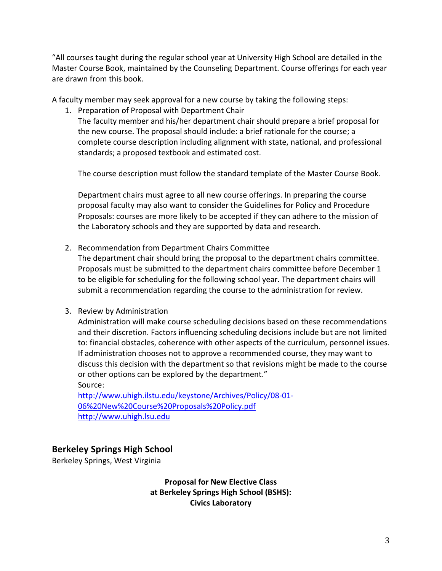"All courses taught during the regular school year at University High School are detailed in the Master Course Book, maintained by the Counseling Department. Course offerings for each year are drawn from this book.

A faculty member may seek approval for a new course by taking the following steps:

1. Preparation of Proposal with Department Chair

The faculty member and his/her department chair should prepare a brief proposal for the new course. The proposal should include: a brief rationale for the course; a complete course description including alignment with state, national, and professional standards; a proposed textbook and estimated cost.

The course description must follow the standard template of the Master Course Book.

Department chairs must agree to all new course offerings. In preparing the course proposal faculty may also want to consider the Guidelines for Policy and Procedure Proposals: courses are more likely to be accepted if they can adhere to the mission of the Laboratory schools and they are supported by data and research.

2. Recommendation from Department Chairs Committee

The department chair should bring the proposal to the department chairs committee. Proposals must be submitted to the department chairs committee before December 1 to be eligible for scheduling for the following school year. The department chairs will submit a recommendation regarding the course to the administration for review.

3. Review by Administration

Administration will make course scheduling decisions based on these recommendations and their discretion. Factors influencing scheduling decisions include but are not limited to: financial obstacles, coherence with other aspects of the curriculum, personnel issues. If administration chooses not to approve a recommended course, they may want to discuss this decision with the department so that revisions might be made to the course or other options can be explored by the department." Source: 

http://www.uhigh.ilstu.edu/keystone/Archives/Policy/08-01- 06%20New%20Course%20Proposals%20Policy.pdf http://www.uhigh.lsu.edu 

## **Berkeley Springs High School**

Berkeley Springs, West Virginia

**Proposal for New Elective Class** at Berkeley Springs High School (BSHS): **Civics Laboratory**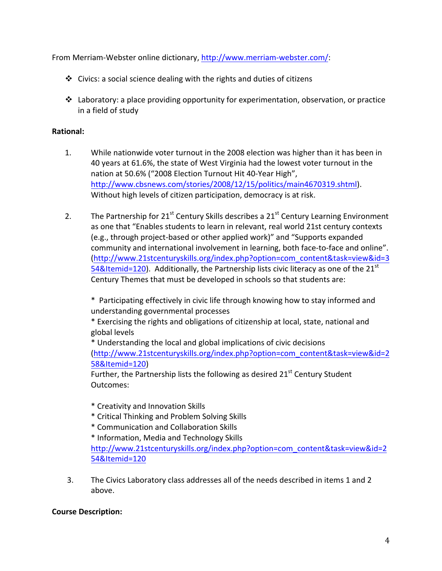From Merriam-Webster online dictionary, http://www.merriam-webster.com/:

- $\cdot$  Civics: a social science dealing with the rights and duties of citizens
- $\cdot \cdot$  Laboratory: a place providing opportunity for experimentation, observation, or practice in a field of study

#### **Rational:**

- 1. While nationwide voter turnout in the 2008 election was higher than it has been in 40 years at 61.6%, the state of West Virginia had the lowest voter turnout in the nation at 50.6% ("2008 Election Turnout Hit 40-Year High", http://www.cbsnews.com/stories/2008/12/15/politics/main4670319.shtml). Without high levels of citizen participation, democracy is at risk.
- 2. The Partnership for  $21^{st}$  Century Skills describes a  $21^{st}$  Century Learning Environment as one that "Enables students to learn in relevant, real world 21st century contexts (e.g., through project-based or other applied work)" and "Supports expanded community and international involvement in learning, both face-to-face and online". (http://www.21stcenturyskills.org/index.php?option=com\_content&task=view&id=3 54&Itemid=120). Additionally, the Partnership lists civic literacy as one of the  $21^{st}$ Century Themes that must be developed in schools so that students are:

\* Participating effectively in civic life through knowing how to stay informed and understanding governmental processes

\* Exercising the rights and obligations of citizenship at local, state, national and global levels

\* Understanding the local and global implications of civic decisions (http://www.21stcenturyskills.org/index.php?option=com\_content&task=view&id=2 58&Itemid=120)

Further, the Partnership lists the following as desired  $21<sup>st</sup>$  Century Student Outcomes:

- \* Creativity and Innovation Skills
- \* Critical Thinking and Problem Solving Skills
- \* Communication and Collaboration Skills
- \* Information, Media and Technology Skills http://www.21stcenturyskills.org/index.php?option=com\_content&task=view&id=2 54&Itemid=120
- 3. The Civics Laboratory class addresses all of the needs described in items 1 and 2 above.

#### **Course Description:**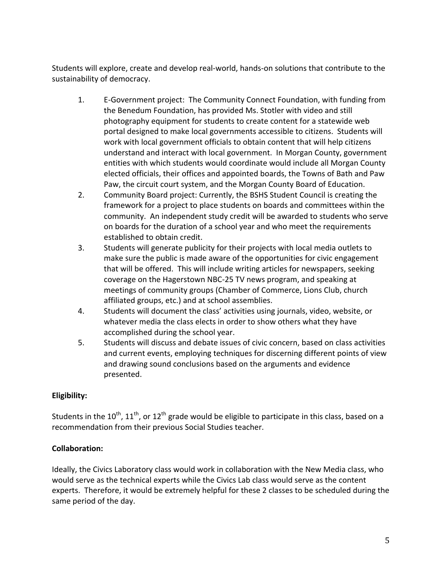Students will explore, create and develop real-world, hands-on solutions that contribute to the sustainability of democracy.

- 1. E-Government project: The Community Connect Foundation, with funding from the Benedum Foundation, has provided Ms. Stotler with video and still photography equipment for students to create content for a statewide web portal designed to make local governments accessible to citizens. Students will work with local government officials to obtain content that will help citizens understand and interact with local government. In Morgan County, government entities with which students would coordinate would include all Morgan County elected officials, their offices and appointed boards, the Towns of Bath and Paw Paw, the circuit court system, and the Morgan County Board of Education.
- 2. Community Board project: Currently, the BSHS Student Council is creating the framework for a project to place students on boards and committees within the community. An independent study credit will be awarded to students who serve on boards for the duration of a school year and who meet the requirements established to obtain credit.
- 3. Students will generate publicity for their projects with local media outlets to make sure the public is made aware of the opportunities for civic engagement that will be offered. This will include writing articles for newspapers, seeking coverage on the Hagerstown NBC-25 TV news program, and speaking at meetings of community groups (Chamber of Commerce, Lions Club, church affiliated groups, etc.) and at school assemblies.
- 4. Students will document the class' activities using journals, video, website, or whatever media the class elects in order to show others what they have accomplished during the school year.
- 5. Students will discuss and debate issues of civic concern, based on class activities and current events, employing techniques for discerning different points of view and drawing sound conclusions based on the arguments and evidence presented.

### **Eligibility:**

Students in the  $10^{th}$ ,  $11^{th}$ , or  $12^{th}$  grade would be eligible to participate in this class, based on a recommendation from their previous Social Studies teacher.

### **Collaboration:**

Ideally, the Civics Laboratory class would work in collaboration with the New Media class, who would serve as the technical experts while the Civics Lab class would serve as the content experts. Therefore, it would be extremely helpful for these 2 classes to be scheduled during the same period of the day.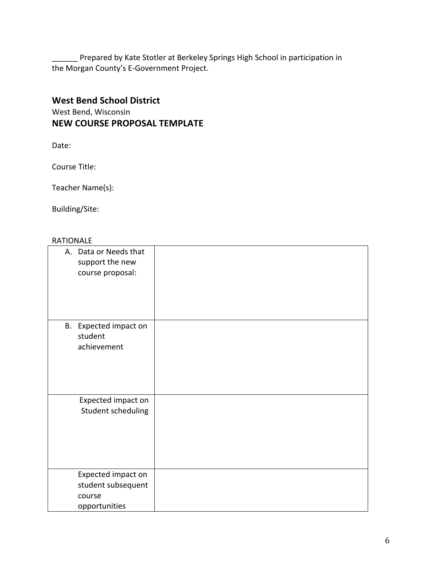\_\_\_\_\_\_ Prepared by Kate Stotler at Berkeley Springs High School in participation in the Morgan County's E-Government Project.

### **West Bend School District** West Bend, Wisconsin **NEW COURSE PROPOSAL TEMPLATE**

Date: 

Course Title:

Teacher Name(s):

Building/Site: 

### RATIONALE

| 117110117122 |                                                                     |  |
|--------------|---------------------------------------------------------------------|--|
|              | A. Data or Needs that<br>support the new<br>course proposal:        |  |
|              | B. Expected impact on<br>student<br>achievement                     |  |
|              | Expected impact on<br>Student scheduling                            |  |
|              | Expected impact on<br>student subsequent<br>course<br>opportunities |  |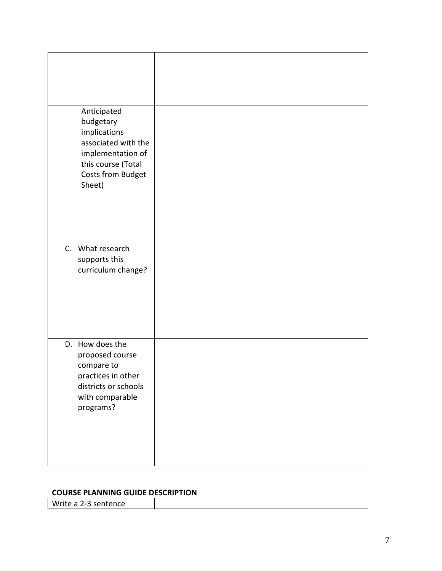| Anticipated<br>budgetary<br>implications<br>associated with the<br>implementation of<br>this course (Total<br>Costs from Budget<br>Sheet) |  |
|-------------------------------------------------------------------------------------------------------------------------------------------|--|
| C. What research<br>supports this<br>curriculum change?                                                                                   |  |
| D. How does the<br>proposed course<br>compare to<br>practices in other<br>districts or schools<br>with comparable<br>programs?            |  |
|                                                                                                                                           |  |

#### **COURSE PLANNING GUIDE DESCRIPTION**

Write a 2-3 sentence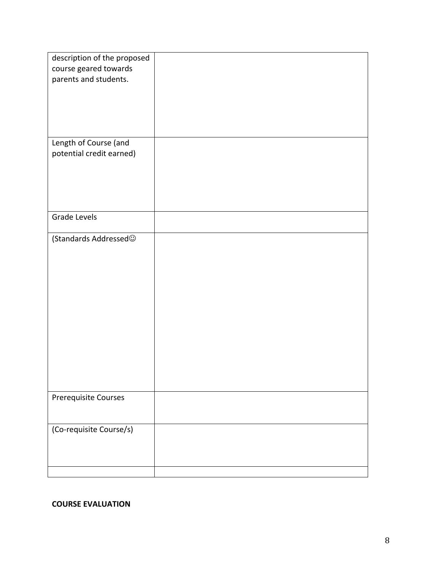| description of the proposed |  |
|-----------------------------|--|
| course geared towards       |  |
| parents and students.       |  |
|                             |  |
|                             |  |
|                             |  |
|                             |  |
| Length of Course (and       |  |
| potential credit earned)    |  |
|                             |  |
|                             |  |
|                             |  |
|                             |  |
|                             |  |
| <b>Grade Levels</b>         |  |
| (Standards Addressed©       |  |
|                             |  |
|                             |  |
|                             |  |
|                             |  |
|                             |  |
|                             |  |
|                             |  |
|                             |  |
|                             |  |
|                             |  |
|                             |  |
|                             |  |
|                             |  |
| Prerequisite Courses        |  |
|                             |  |
|                             |  |
| (Co-requisite Course/s)     |  |
|                             |  |
|                             |  |
|                             |  |
|                             |  |

#### **COURSE EVALUATION**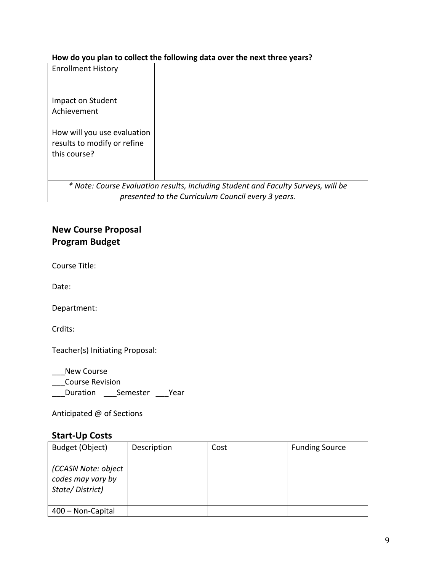### How do you plan to collect the following data over the next three years?

| <b>Enrollment History</b>                                                         |                                                    |  |  |
|-----------------------------------------------------------------------------------|----------------------------------------------------|--|--|
| Impact on Student                                                                 |                                                    |  |  |
| Achievement                                                                       |                                                    |  |  |
|                                                                                   |                                                    |  |  |
| How will you use evaluation                                                       |                                                    |  |  |
| results to modify or refine                                                       |                                                    |  |  |
| this course?                                                                      |                                                    |  |  |
|                                                                                   |                                                    |  |  |
|                                                                                   |                                                    |  |  |
| * Note: Course Evaluation results, including Student and Faculty Surveys, will be |                                                    |  |  |
|                                                                                   | presented to the Curriculum Council every 3 years. |  |  |

## **New Course Proposal Program Budget**

Course Title:

Date:

Department:

Crdits:

Teacher(s) Initiating Proposal:

\_\_\_New Course \_\_\_Course Revision \_\_\_Duration \_\_\_Semester \_\_\_Year

Anticipated @ of Sections

## **Start-Up Costs**

| Budget (Object)                                             | Description | Cost | <b>Funding Source</b> |
|-------------------------------------------------------------|-------------|------|-----------------------|
| (CCASN Note: object<br>codes may vary by<br>State/District) |             |      |                       |
| 400 - Non-Capital                                           |             |      |                       |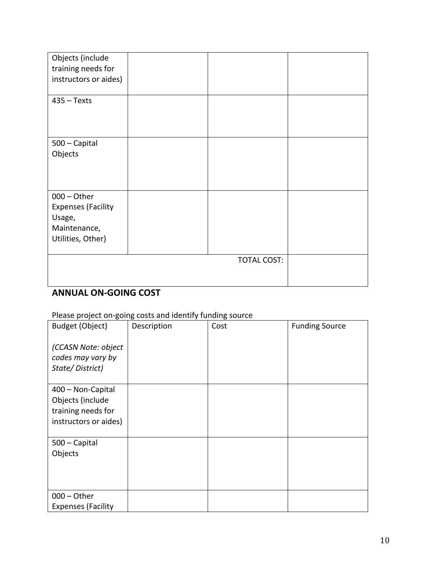| Objects (include<br>training needs for<br>instructors or aides)                           |                    |  |
|-------------------------------------------------------------------------------------------|--------------------|--|
| $435 - Texts$                                                                             |                    |  |
| 500 - Capital<br>Objects                                                                  |                    |  |
| $000 - Other$<br><b>Expenses (Facility</b><br>Usage,<br>Maintenance,<br>Utilities, Other) |                    |  |
|                                                                                           | <b>TOTAL COST:</b> |  |

## **ANNUAL ON-GOING COST**

## Please project on-going costs and identify funding source

| Budget (Object)<br>(CCASN Note: object<br>codes may vary by<br>State/District)       | Description | Cost | <b>Funding Source</b> |
|--------------------------------------------------------------------------------------|-------------|------|-----------------------|
| 400 - Non-Capital<br>Objects (include<br>training needs for<br>instructors or aides) |             |      |                       |
| 500 - Capital<br>Objects                                                             |             |      |                       |
| $000 -$ Other<br><b>Expenses (Facility</b>                                           |             |      |                       |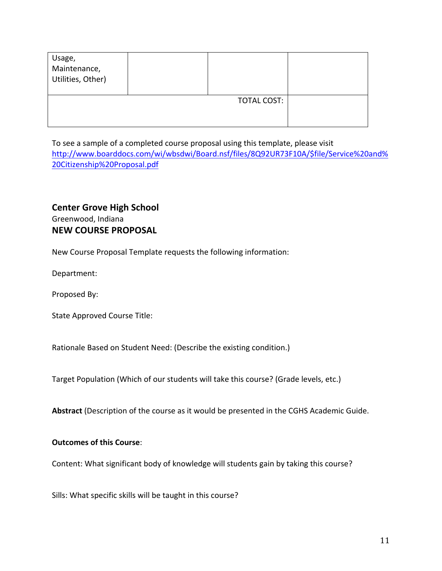| Usage,<br>Maintenance,<br>Utilities, Other) |                    |  |
|---------------------------------------------|--------------------|--|
|                                             | <b>TOTAL COST:</b> |  |

To see a sample of a completed course proposal using this template, please visit http://www.boarddocs.com/wi/wbsdwi/Board.nsf/files/8Q92UR73F10A/\$file/Service%20and% 20Citizenship%20Proposal.pdf

### **Center Grove High School** Greenwood, Indiana **NEW COURSE PROPOSAL**

New Course Proposal Template requests the following information:

Department: 

Proposed By:

State Approved Course Title:

Rationale Based on Student Need: (Describe the existing condition.)

Target Population (Which of our students will take this course? (Grade levels, etc.)

Abstract (Description of the course as it would be presented in the CGHS Academic Guide.

#### **Outcomes of this Course:**

Content: What significant body of knowledge will students gain by taking this course?

Sills: What specific skills will be taught in this course?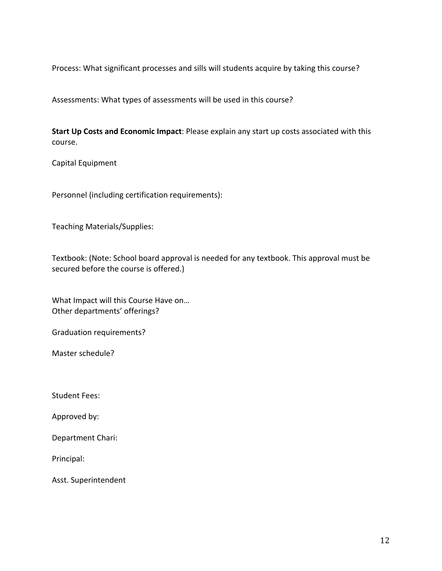Process: What significant processes and sills will students acquire by taking this course?

Assessments: What types of assessments will be used in this course?

**Start Up Costs and Economic Impact**: Please explain any start up costs associated with this course. 

Capital Equipment 

Personnel (including certification requirements):

Teaching Materials/Supplies:

Textbook: (Note: School board approval is needed for any textbook. This approval must be secured before the course is offered.)

What Impact will this Course Have on... Other departments' offerings?

Graduation requirements?

Master schedule?

Student Fees:

Approved by:

Department Chari:

Principal:

Asst. Superintendent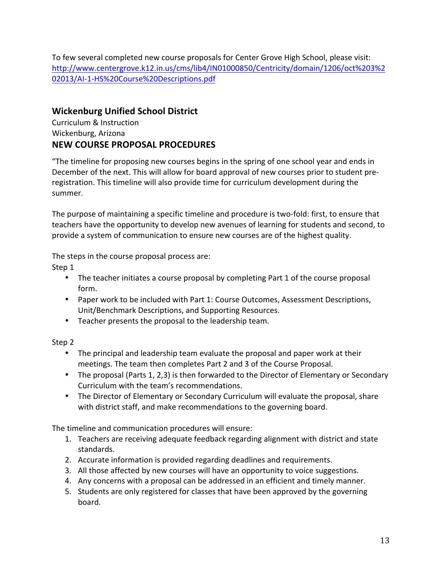To few several completed new course proposals for Center Grove High School, please visit: http://www.centergrove.k12.in.us/cms/lib4/IN01000850/Centricity/domain/1206/oct%203%2 02013/AI-1-HS%20Course%20Descriptions.pdf

## **Wickenburg Unified School District**

Curriculum & Instruction Wickenburg, Arizona **NEW COURSE PROPOSAL PROCEDURES** 

"The timeline for proposing new courses begins in the spring of one school year and ends in December of the next. This will allow for board approval of new courses prior to student preregistration. This timeline will also provide time for curriculum development during the summer. 

The purpose of maintaining a specific timeline and procedure is two-fold: first, to ensure that teachers have the opportunity to develop new avenues of learning for students and second, to provide a system of communication to ensure new courses are of the highest quality.

The steps in the course proposal process are:

Step 1

- The teacher initiates a course proposal by completing Part 1 of the course proposal form.
- Paper work to be included with Part 1: Course Outcomes, Assessment Descriptions, Unit/Benchmark Descriptions, and Supporting Resources.
- Teacher presents the proposal to the leadership team.

Step 2

- The principal and leadership team evaluate the proposal and paper work at their meetings. The team then completes Part 2 and 3 of the Course Proposal.
- The proposal (Parts 1, 2,3) is then forwarded to the Director of Elementary or Secondary Curriculum with the team's recommendations.
- The Director of Elementary or Secondary Curriculum will evaluate the proposal, share with district staff, and make recommendations to the governing board.

The timeline and communication procedures will ensure:

- 1. Teachers are receiving adequate feedback regarding alignment with district and state standards.
- 2. Accurate information is provided regarding deadlines and requirements.
- 3. All those affected by new courses will have an opportunity to voice suggestions.
- 4. Any concerns with a proposal can be addressed in an efficient and timely manner.
- 5. Students are only registered for classes that have been approved by the governing board.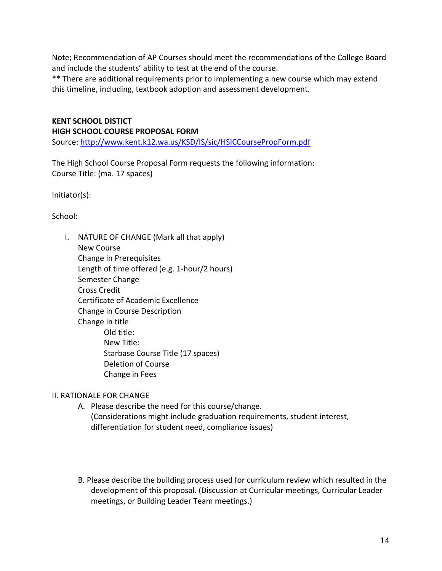Note; Recommendation of AP Courses should meet the recommendations of the College Board and include the students' ability to test at the end of the course.

\*\* There are additional requirements prior to implementing a new course which may extend this timeline, including, textbook adoption and assessment development.

## **KENT SCHOOL DISTICT HIGH SCHOOL COURSE PROPOSAL FORM**

Source: http://www.kent.k12.wa.us/KSD/IS/sic/HSICCoursePropForm.pdf

The High School Course Proposal Form requests the following information: Course Title: (ma. 17 spaces)

Initiator(s): 

School:

I. NATURE OF CHANGE (Mark all that apply) New Course Change in Prerequisites Length of time offered (e.g. 1-hour/2 hours) Semester Change Cross Credit Certificate of Academic Excellence Change in Course Description Change in title Old title: New Title: Starbase Course Title (17 spaces) Deletion of Course Change in Fees

#### **II. RATIONALE FOR CHANGE**

- A. Please describe the need for this course/change. (Considerations might include graduation requirements, student interest, differentiation for student need, compliance issues)
- B. Please describe the building process used for curriculum review which resulted in the development of this proposal. (Discussion at Curricular meetings, Curricular Leader meetings, or Building Leader Team meetings.)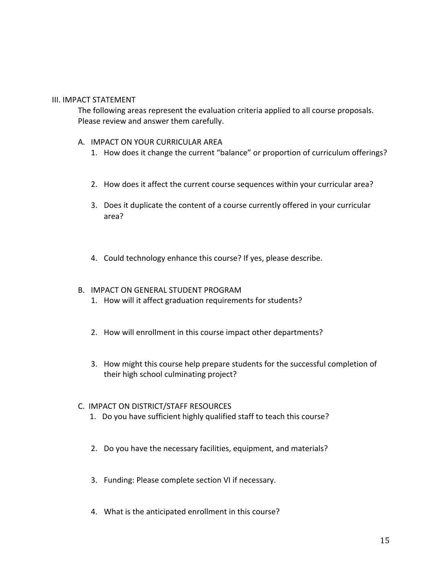#### III. IMPACT STATEMENT

The following areas represent the evaluation criteria applied to all course proposals. Please review and answer them carefully.

#### A. IMPACT ON YOUR CURRICULAR AREA

- 1. How does it change the current "balance" or proportion of curriculum offerings?
- 2. How does it affect the current course sequences within your curricular area?
- 3. Does it duplicate the content of a course currently offered in your curricular area?
- 4. Could technology enhance this course? If yes, please describe.

#### B. IMPACT ON GENERAL STUDENT PROGRAM

- 1. How will it affect graduation requirements for students?
- 2. How will enrollment in this course impact other departments?
- 3. How might this course help prepare students for the successful completion of their high school culminating project?

#### C. IMPACT ON DISTRICT/STAFF RESOURCES

- 1. Do you have sufficient highly qualified staff to teach this course?
- 2. Do you have the necessary facilities, equipment, and materials?
- 3. Funding: Please complete section VI if necessary.
- 4. What is the anticipated enrollment in this course?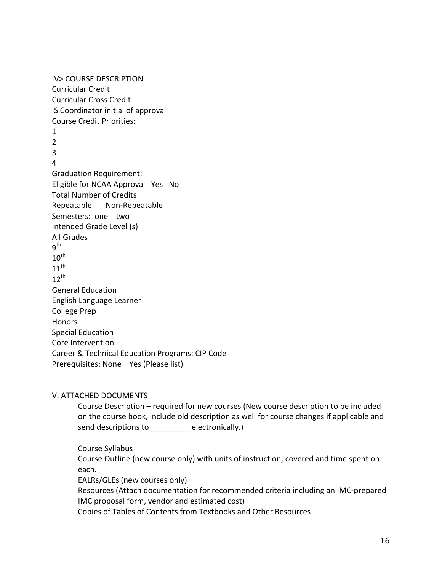**IV> COURSE DESCRIPTION** Curricular Credit Curricular Cross Credit IS Coordinator initial of approval Course Credit Priorities: 1 2 3 4 Graduation Requirement: Eligible for NCAA Approval Yes No Total Number of Credits Repeatable Non-Repeatable Semesters: one two Intended Grade Level (s) **All Grades** 9th  $10^{\text{th}}$  $11^{th}$  $12^{th}$ General Education English Language Learner College Prep Honors Special Education Core Intervention Career & Technical Education Programs: CIP Code Prerequisites: None Yes (Please list)

#### V. ATTACHED DOCUMENTS

Course Description – required for new courses (New course description to be included on the course book, include old description as well for course changes if applicable and send descriptions to electronically.)

Course Syllabus Course Outline (new course only) with units of instruction, covered and time spent on each.

EALRs/GLEs (new courses only)

Resources (Attach documentation for recommended criteria including an IMC-prepared IMC proposal form, vendor and estimated cost)

Copies of Tables of Contents from Textbooks and Other Resources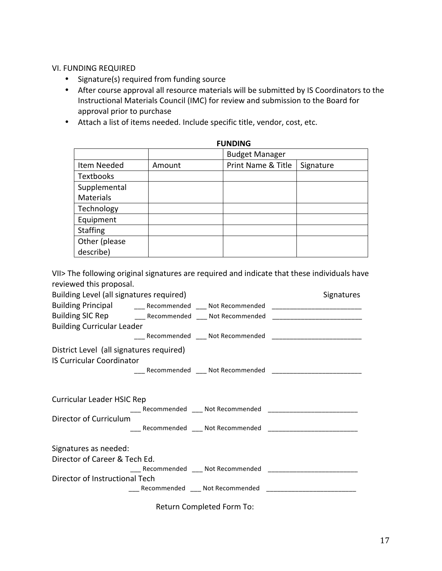VI. FUNDING REQUIRED

- Signature(s) required from funding source
- After course approval all resource materials will be submitted by IS Coordinators to the Instructional Materials Council (IMC) for review and submission to the Board for approval prior to purchase
- Attach a list of items needed. Include specific title, vendor, cost, etc.

|                  |        | <b>Budget Manager</b> |           |  |
|------------------|--------|-----------------------|-----------|--|
| Item Needed      | Amount | Print Name & Title    | Signature |  |
| <b>Textbooks</b> |        |                       |           |  |
| Supplemental     |        |                       |           |  |
| <b>Materials</b> |        |                       |           |  |
| Technology       |        |                       |           |  |
| Equipment        |        |                       |           |  |
| <b>Staffing</b>  |        |                       |           |  |
| Other (please    |        |                       |           |  |
| describe)        |        |                       |           |  |

VII> The following original signatures are required and indicate that these individuals have reviewed this proposal.

| Building Level (all signatures required) |                                                                                                            | Signatures |
|------------------------------------------|------------------------------------------------------------------------------------------------------------|------------|
|                                          | Building Principal and all Recommended and Not Recommended and all resonance and Recommended and Principal |            |
|                                          | Building SIC Rep ________Recommended ____ Not Recommended ______________________                           |            |
| <b>Building Curricular Leader</b>        |                                                                                                            |            |
|                                          | ___ Recommended ___ Not Recommended __________________________                                             |            |
| District Level (all signatures required) |                                                                                                            |            |
| <b>IS Curricular Coordinator</b>         |                                                                                                            |            |
|                                          | ____ Recommended ____ Not Recommended _____________________                                                |            |
|                                          |                                                                                                            |            |
| Curricular Leader HSIC Rep               |                                                                                                            |            |
|                                          | ___ Recommended ___ Not Recommended _________________________                                              |            |
| Director of Curriculum                   |                                                                                                            |            |
|                                          | ___ Recommended ____ Not Recommended ______________________________                                        |            |
| Signatures as needed:                    |                                                                                                            |            |
| Director of Career & Tech Ed.            |                                                                                                            |            |
|                                          | ___ Recommended ___ Not Recommended ____________________                                                   |            |
| Director of Instructional Tech           |                                                                                                            |            |
|                                          | ___ Recommended ___ Not Recommended ____________________                                                   |            |
|                                          |                                                                                                            |            |

Return Completed Form To:

## **FUNDING**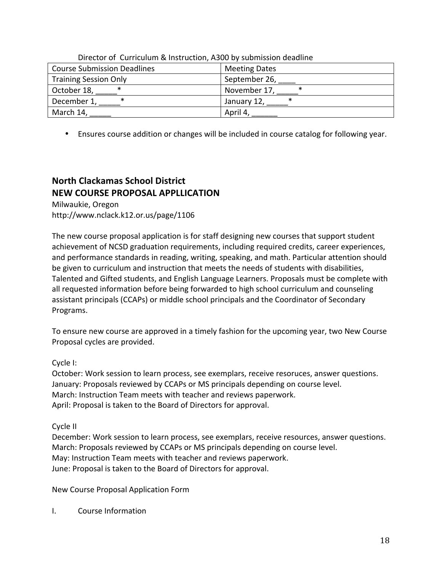| <b>PHECEOI</b> OF CUTTICULUITI & HISTIACHOIT, ASOO DY SUDITIISSION ACQUITIC |                      |  |  |  |
|-----------------------------------------------------------------------------|----------------------|--|--|--|
| <b>Course Submission Deadlines</b>                                          | <b>Meeting Dates</b> |  |  |  |
| <b>Training Session Only</b>                                                | September 26,        |  |  |  |
| October 18,                                                                 | ∗<br>November 17,    |  |  |  |
| December 1                                                                  | ∗<br>January 12,     |  |  |  |
| March 14,                                                                   | April 4,             |  |  |  |

Director of Curriculum & Instruction, A300 by submission deadline

• Ensures course addition or changes will be included in course catalog for following year.

# **North Clackamas School District NEW COURSE PROPOSAL APPLLICATION**

Milwaukie, Oregon http://www.nclack.k12.or.us/page/1106

The new course proposal application is for staff designing new courses that support student achievement of NCSD graduation requirements, including required credits, career experiences, and performance standards in reading, writing, speaking, and math. Particular attention should be given to curriculum and instruction that meets the needs of students with disabilities, Talented and Gifted students, and English Language Learners. Proposals must be complete with all requested information before being forwarded to high school curriculum and counseling assistant principals (CCAPs) or middle school principals and the Coordinator of Secondary Programs.

To ensure new course are approved in a timely fashion for the upcoming year, two New Course Proposal cycles are provided.

Cycle I:

October: Work session to learn process, see exemplars, receive resoruces, answer questions. January: Proposals reviewed by CCAPs or MS principals depending on course level. March: Instruction Team meets with teacher and reviews paperwork. April: Proposal is taken to the Board of Directors for approval.

Cycle II

December: Work session to learn process, see exemplars, receive resources, answer questions. March: Proposals reviewed by CCAPs or MS principals depending on course level. May: Instruction Team meets with teacher and reviews paperwork. June: Proposal is taken to the Board of Directors for approval.

New Course Proposal Application Form

I. Course Information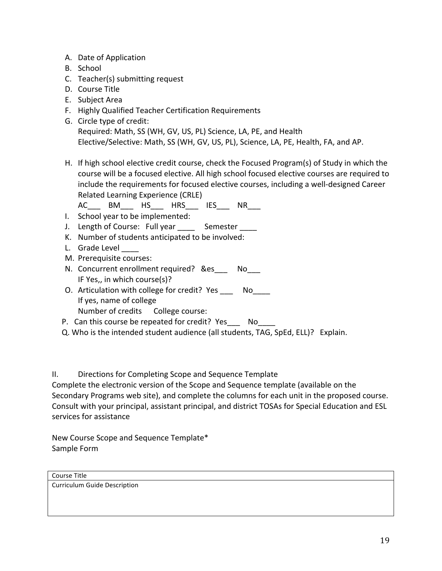- A. Date of Application
- B. School
- C. Teacher(s) submitting request
- D. Course Title
- E. Subject Area
- F. Highly Qualified Teacher Certification Requirements
- G. Circle type of credit: Required: Math, SS (WH, GV, US, PL) Science, LA, PE, and Health Elective/Selective: Math, SS (WH, GV, US, PL), Science, LA, PE, Health, FA, and AP.
- H. If high school elective credit course, check the Focused Program(s) of Study in which the course will be a focused elective. All high school focused elective courses are required to include the requirements for focused elective courses, including a well-designed Career Related Learning Experience (CRLE)

AC\_\_\_\_ BM\_\_\_\_ HS\_\_\_\_ HRS\_\_\_\_ IES\_\_\_\_ NR\_\_\_\_

- I. School year to be implemented:
- J. Length of Course: Full year Semester
- K. Number of students anticipated to be involved:
- L. Grade Level
- M. Prerequisite courses:
- N. Concurrent enrollment required? &es Mo IF Yes,, in which course(s)?
- O. Articulation with college for credit? Yes Mo If yes, name of college Number of credits College course:
- P. Can this course be repeated for credit? Yes Mo
- Q. Who is the intended student audience (all students, TAG, SpEd, ELL)? Explain.

II. Directions for Completing Scope and Sequence Template

Complete the electronic version of the Scope and Sequence template (available on the Secondary Programs web site), and complete the columns for each unit in the proposed course. Consult with your principal, assistant principal, and district TOSAs for Special Education and ESL services for assistance

New Course Scope and Sequence Template\* Sample Form

Course Title Curriculum Guide Description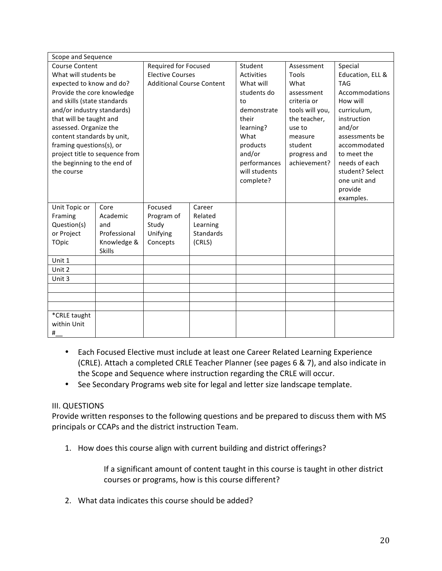| Scope and Sequence             |               |                                  |                  |                   |                 |                  |
|--------------------------------|---------------|----------------------------------|------------------|-------------------|-----------------|------------------|
| <b>Course Content</b>          |               | Required for Focused             |                  | Student           | Assessment      | Special          |
| What will students be          |               | <b>Elective Courses</b>          |                  | <b>Activities</b> | Tools           | Education, ELL & |
| expected to know and do?       |               | <b>Additional Course Content</b> |                  | What will         | What            | <b>TAG</b>       |
| Provide the core knowledge     |               |                                  |                  | students do       | assessment      | Accommodations   |
| and skills (state standards    |               |                                  |                  | to                | criteria or     | How will         |
| and/or industry standards)     |               |                                  |                  | demonstrate       | tools will you, | curriculum,      |
| that will be taught and        |               |                                  |                  | their             | the teacher,    | instruction      |
| assessed. Organize the         |               |                                  |                  | learning?         | use to          | and/or           |
| content standards by unit,     |               |                                  |                  | What              | measure         | assessments be   |
| framing questions(s), or       |               |                                  |                  | products          | student         | accommodated     |
| project title to sequence from |               |                                  |                  | and/or            | progress and    | to meet the      |
| the beginning to the end of    |               |                                  |                  | performances      | achievement?    | needs of each    |
| the course                     |               |                                  |                  | will students     |                 | student? Select  |
|                                |               |                                  |                  | complete?         |                 | one unit and     |
|                                |               |                                  |                  |                   |                 | provide          |
|                                |               |                                  |                  |                   |                 | examples.        |
| Unit Topic or                  | Core          | Focused                          | Career           |                   |                 |                  |
| Framing                        | Academic      | Program of                       | Related          |                   |                 |                  |
| Question(s)                    | and           | Study                            | Learning         |                   |                 |                  |
| or Project                     | Professional  | Unifying                         | <b>Standards</b> |                   |                 |                  |
| <b>TOpic</b>                   | Knowledge &   | Concepts                         | (CRLS)           |                   |                 |                  |
|                                | <b>Skills</b> |                                  |                  |                   |                 |                  |
| Unit 1                         |               |                                  |                  |                   |                 |                  |
| Unit 2                         |               |                                  |                  |                   |                 |                  |
| Unit 3                         |               |                                  |                  |                   |                 |                  |
|                                |               |                                  |                  |                   |                 |                  |
|                                |               |                                  |                  |                   |                 |                  |
|                                |               |                                  |                  |                   |                 |                  |
| *CRLE taught                   |               |                                  |                  |                   |                 |                  |
| within Unit                    |               |                                  |                  |                   |                 |                  |
| #                              |               |                                  |                  |                   |                 |                  |

- Each Focused Elective must include at least one Career Related Learning Experience (CRLE). Attach a completed CRLE Teacher Planner (see pages 6 & 7), and also indicate in the Scope and Sequence where instruction regarding the CRLE will occur.
- See Secondary Programs web site for legal and letter size landscape template.

#### **III. QUESTIONS**

Provide written responses to the following questions and be prepared to discuss them with MS principals or CCAPs and the district instruction Team.

1. How does this course align with current building and district offerings?

If a significant amount of content taught in this course is taught in other district courses or programs, how is this course different?

2. What data indicates this course should be added?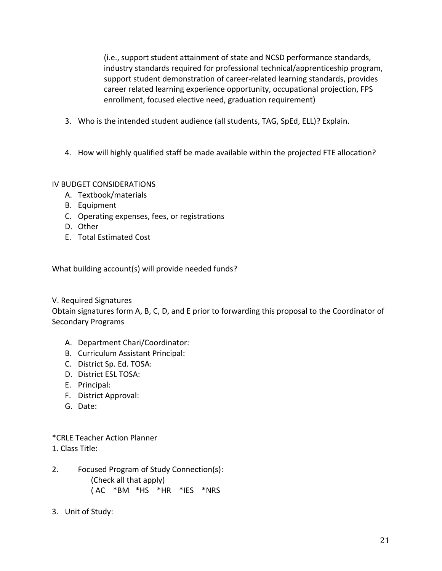(i.e., support student attainment of state and NCSD performance standards, industry standards required for professional technical/apprenticeship program, support student demonstration of career-related learning standards, provides career related learning experience opportunity, occupational projection, FPS enrollment, focused elective need, graduation requirement)

- 3. Who is the intended student audience (all students, TAG, SpEd, ELL)? Explain.
- 4. How will highly qualified staff be made available within the projected FTE allocation?

## IV BUDGET CONSIDERATIONS

- A. Textbook/materials
- B. Equipment
- C. Operating expenses, fees, or registrations
- D. Other
- E. Total Estimated Cost

What building account(s) will provide needed funds?

V. Required Signatures Obtain signatures form A, B, C, D, and E prior to forwarding this proposal to the Coordinator of Secondary Programs

- A. Department Chari/Coordinator:
- B. Curriculum Assistant Principal:
- C. District Sp. Ed. TOSA:
- D. District ESL TOSA:
- E. Principal:
- F. District Approval:
- G. Date:

\*CRLE Teacher Action Planner 1. Class Title:

- 2. Focused Program of Study Connection(s): (Check all that apply) (AC \*BM \*HS \*HR \*IES \*NRS
- 3. Unit of Study: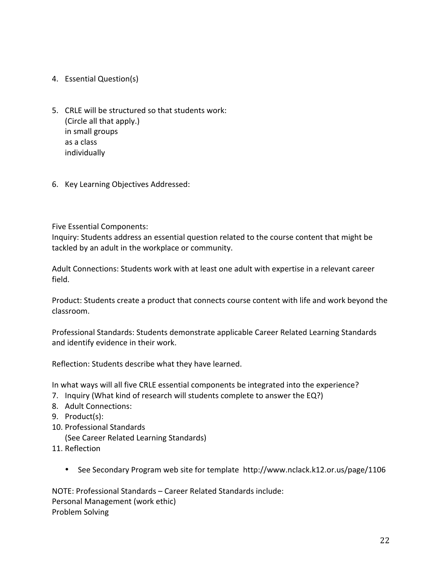- 4. Essential Question(s)
- 5. CRLE will be structured so that students work: (Circle all that apply.) in small groups as a class individually
- 6. Key Learning Objectives Addressed:

Five Essential Components:

Inquiry: Students address an essential question related to the course content that might be tackled by an adult in the workplace or community.

Adult Connections: Students work with at least one adult with expertise in a relevant career field.

Product: Students create a product that connects course content with life and work beyond the classroom.

Professional Standards: Students demonstrate applicable Career Related Learning Standards and identify evidence in their work.

Reflection: Students describe what they have learned.

In what ways will all five CRLE essential components be integrated into the experience?

- 7. Inquiry (What kind of research will students complete to answer the EQ?)
- 8. Adult Connections:
- 9. Product(s):
- 10. Professional Standards
	- (See Career Related Learning Standards)
- 11. Reflection
	- See Secondary Program web site for template http://www.nclack.k12.or.us/page/1106

NOTE: Professional Standards – Career Related Standards include: Personal Management (work ethic) Problem Solving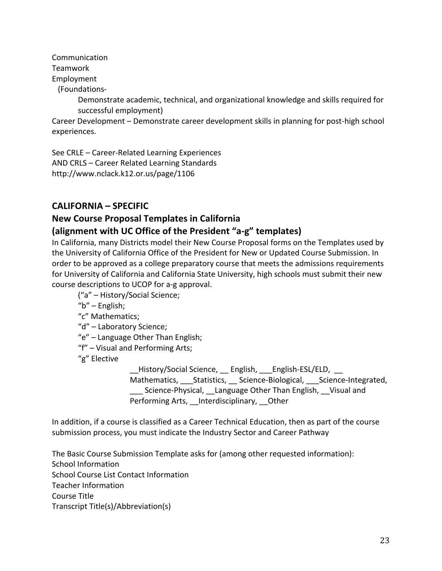#### Communication Teamwork Employment

 (Foundations-

Demonstrate academic, technical, and organizational knowledge and skills required for successful employment)

Career Development – Demonstrate career development skills in planning for post-high school experiences. 

See CRLE – Career-Related Learning Experiences AND CRLS – Career Related Learning Standards http://www.nclack.k12.or.us/page/1106

## **CALIFORNIA – SPECIFIC**

## **New Course Proposal Templates in California**

## **(alignment with UC Office of the President "a-g" templates)**

In California, many Districts model their New Course Proposal forms on the Templates used by the University of California Office of the President for New or Updated Course Submission. In order to be approved as a college preparatory course that meets the admissions requirements for University of California and California State University, high schools must submit their new course descriptions to UCOP for a-g approval.

("a" – History/Social Science; 

" $b$ " – English;

"c" Mathematics; 

"d" - Laboratory Science;

" $e$ " – Language Other Than English;

"f" - Visual and Performing Arts;

"g" Elective

History/Social Science, \_\_\_English, \_\_\_English-ESL/ELD, Mathematics, \_\_\_Statistics, \_\_ Science-Biological, \_\_\_Science-Integrated, Science-Physical, Language Other Than English, Visual and Performing Arts, Interdisciplinary, Other

In addition, if a course is classified as a Career Technical Education, then as part of the course submission process, you must indicate the Industry Sector and Career Pathway

The Basic Course Submission Template asks for (among other requested information): School Information School Course List Contact Information Teacher Information Course Title Transcript Title(s)/Abbreviation(s)